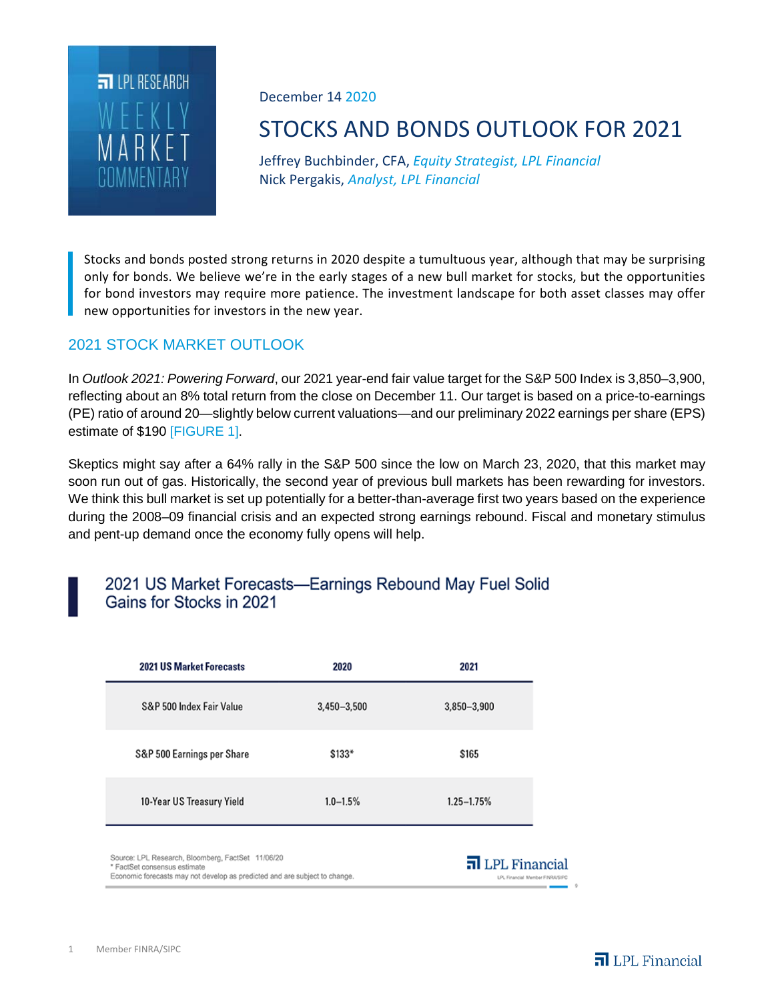

### December 14 2020

# STOCKS AND BONDS OUTLOOK FOR 2021

Jeffrey Buchbinder, CFA, *Equity Strategist, LPL Financial* Nick Pergakis, *Analyst, LPL Financial*

Stocks and bonds posted strong returns in 2020 despite a tumultuous year, although that may be surprising only for bonds. We believe we're in the early stages of a new bull market for stocks, but the opportunities for bond investors may require more patience. The investment landscape for both asset classes may offer new opportunities for investors in the new year.

## 2021 STOCK MARKET OUTLOOK

In *Outlook 2021: Powering Forward*, our 2021 year-end fair value target for the S&P 500 Index is 3,850–3,900, reflecting about an 8% total return from the close on December 11. Our target is based on a price-to-earnings (PE) ratio of around 20—slightly below current valuations—and our preliminary 2022 earnings per share (EPS) estimate of \$190 [FIGURE 1].

Skeptics might say after a 64% rally in the S&P 500 since the low on March 23, 2020, that this market may soon run out of gas. Historically, the second year of previous bull markets has been rewarding for investors. We think this bull market is set up potentially for a better-than-average first two years based on the experience during the 2008–09 financial crisis and an expected strong earnings rebound. Fiscal and monetary stimulus and pent-up demand once the economy fully opens will help.

## 2021 US Market Forecasts-Earnings Rebound May Fuel Solid Gains for Stocks in 2021

| <b>2021 US Market Forecasts</b>                                                                                                                                 | 2020            | 2021                                                   |
|-----------------------------------------------------------------------------------------------------------------------------------------------------------------|-----------------|--------------------------------------------------------|
| S&P 500 Index Fair Value                                                                                                                                        | $3,450 - 3,500$ | $3,850 - 3,900$                                        |
| S&P 500 Earnings per Share                                                                                                                                      | $$133*$         | \$165                                                  |
| 10-Year US Treasury Yield                                                                                                                                       | $1.0 - 1.5%$    | $1.25 - 1.75%$                                         |
| Source: LPL Research, Bloomberg, FactSet 11/06/20<br>* FactSet consensus estimate<br>Economic forecasts may not develop as predicted and are subject to change. |                 | $\Pi$ LPL Financial<br>LPL Financial Member FINRA/SIPC |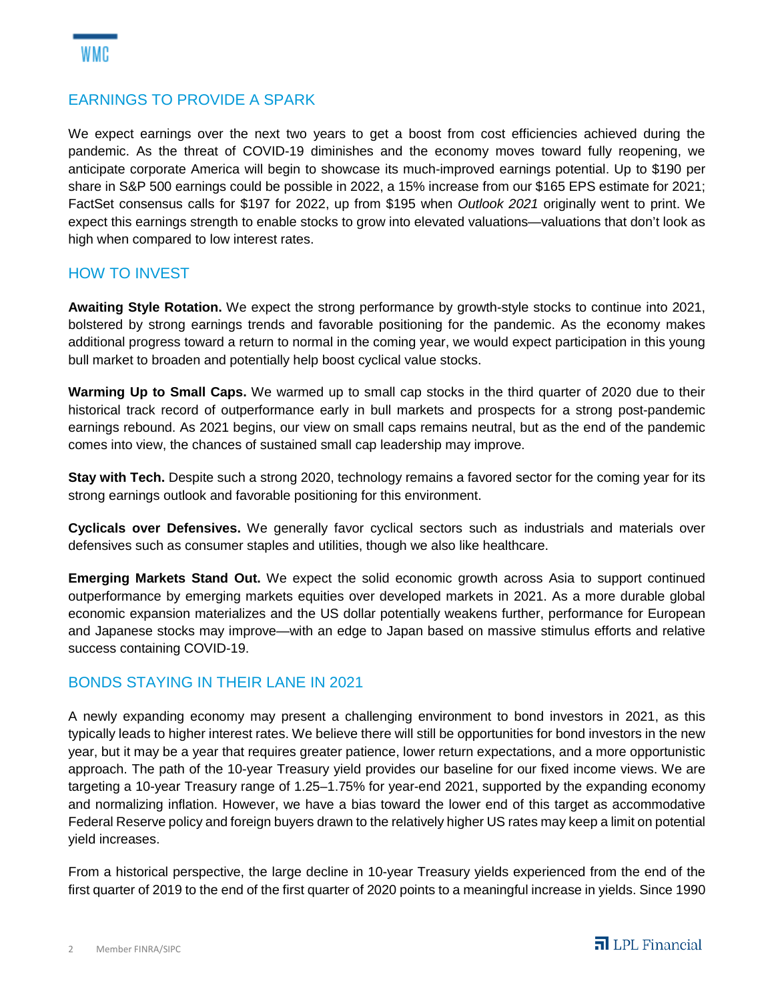### EARNINGS TO PROVIDE A SPARK

We expect earnings over the next two years to get a boost from cost efficiencies achieved during the pandemic. As the threat of COVID-19 diminishes and the economy moves toward fully reopening, we anticipate corporate America will begin to showcase its much-improved earnings potential. Up to \$190 per share in S&P 500 earnings could be possible in 2022, a 15% increase from our \$165 EPS estimate for 2021; FactSet consensus calls for \$197 for 2022, up from \$195 when *Outlook 2021* originally went to print. We expect this earnings strength to enable stocks to grow into elevated valuations—valuations that don't look as high when compared to low interest rates.

#### HOW TO INVEST

**Awaiting Style Rotation.** We expect the strong performance by growth-style stocks to continue into 2021, bolstered by strong earnings trends and favorable positioning for the pandemic. As the economy makes additional progress toward a return to normal in the coming year, we would expect participation in this young bull market to broaden and potentially help boost cyclical value stocks.

**Warming Up to Small Caps.** We warmed up to small cap stocks in the third quarter of 2020 due to their historical track record of outperformance early in bull markets and prospects for a strong post-pandemic earnings rebound. As 2021 begins, our view on small caps remains neutral, but as the end of the pandemic comes into view, the chances of sustained small cap leadership may improve.

**Stay with Tech.** Despite such a strong 2020, technology remains a favored sector for the coming year for its strong earnings outlook and favorable positioning for this environment.

**Cyclicals over Defensives.** We generally favor cyclical sectors such as industrials and materials over defensives such as consumer staples and utilities, though we also like healthcare.

**Emerging Markets Stand Out.** We expect the solid economic growth across Asia to support continued outperformance by emerging markets equities over developed markets in 2021. As a more durable global economic expansion materializes and the US dollar potentially weakens further, performance for European and Japanese stocks may improve—with an edge to Japan based on massive stimulus efforts and relative success containing COVID-19.

#### BONDS STAYING IN THEIR LANE IN 2021

A newly expanding economy may present a challenging environment to bond investors in 2021, as this typically leads to higher interest rates. We believe there will still be opportunities for bond investors in the new year, but it may be a year that requires greater patience, lower return expectations, and a more opportunistic approach. The path of the 10-year Treasury yield provides our baseline for our fixed income views. We are targeting a 10-year Treasury range of 1.25–1.75% for year-end 2021, supported by the expanding economy and normalizing inflation. However, we have a bias toward the lower end of this target as accommodative Federal Reserve policy and foreign buyers drawn to the relatively higher US rates may keep a limit on potential yield increases.

From a historical perspective, the large decline in 10-year Treasury yields experienced from the end of the first quarter of 2019 to the end of the first quarter of 2020 points to a meaningful increase in yields. Since 1990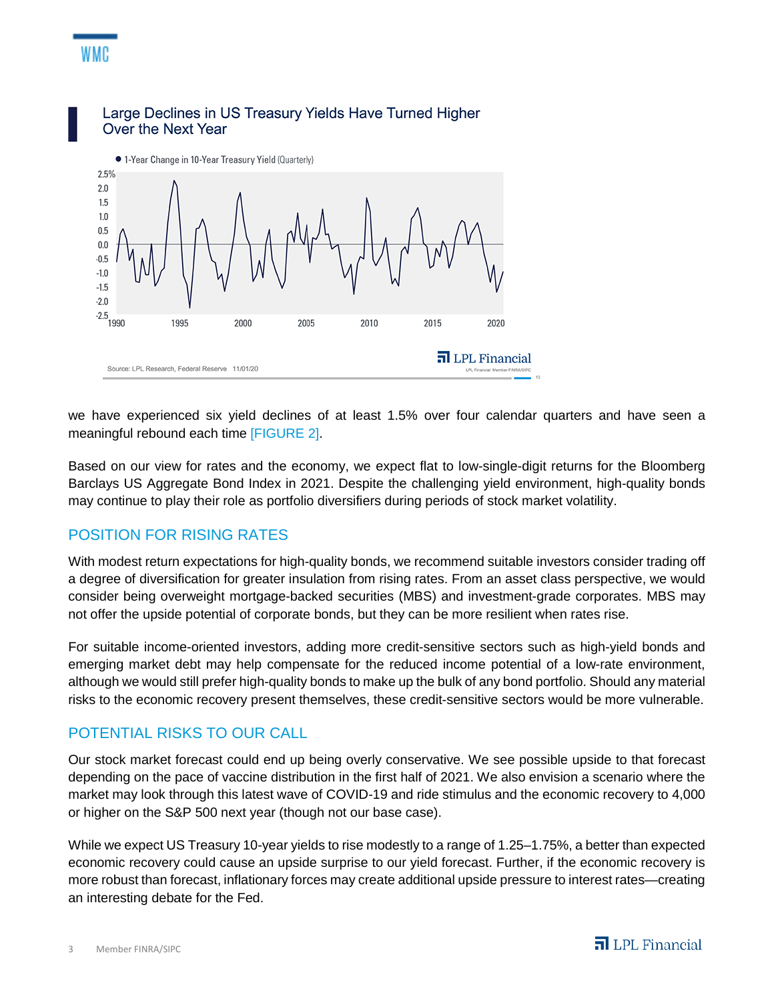

Large Declines in US Treasury Yields Have Turned Higher Over the Next Year

we have experienced six yield declines of at least 1.5% over four calendar quarters and have seen a meaningful rebound each time [FIGURE 2].

Based on our view for rates and the economy, we expect flat to low-single-digit returns for the Bloomberg Barclays US Aggregate Bond Index in 2021. Despite the challenging yield environment, high-quality bonds may continue to play their role as portfolio diversifiers during periods of stock market volatility.

## POSITION FOR RISING RATES

WMC

With modest return expectations for high-quality bonds, we recommend suitable investors consider trading off a degree of diversification for greater insulation from rising rates. From an asset class perspective, we would consider being overweight mortgage-backed securities (MBS) and investment-grade corporates. MBS may not offer the upside potential of corporate bonds, but they can be more resilient when rates rise.

For suitable income-oriented investors, adding more credit-sensitive sectors such as high-yield bonds and emerging market debt may help compensate for the reduced income potential of a low-rate environment, although we would still prefer high-quality bonds to make up the bulk of any bond portfolio. Should any material risks to the economic recovery present themselves, these credit-sensitive sectors would be more vulnerable.

## POTENTIAL RISKS TO OUR CALL

Our stock market forecast could end up being overly conservative. We see possible upside to that forecast depending on the pace of vaccine distribution in the first half of 2021. We also envision a scenario where the market may look through this latest wave of COVID-19 and ride stimulus and the economic recovery to 4,000 or higher on the S&P 500 next year (though not our base case).

While we expect US Treasury 10-year yields to rise modestly to a range of 1.25–1.75%, a better than expected economic recovery could cause an upside surprise to our yield forecast. Further, if the economic recovery is more robust than forecast, inflationary forces may create additional upside pressure to interest rates—creating an interesting debate for the Fed.